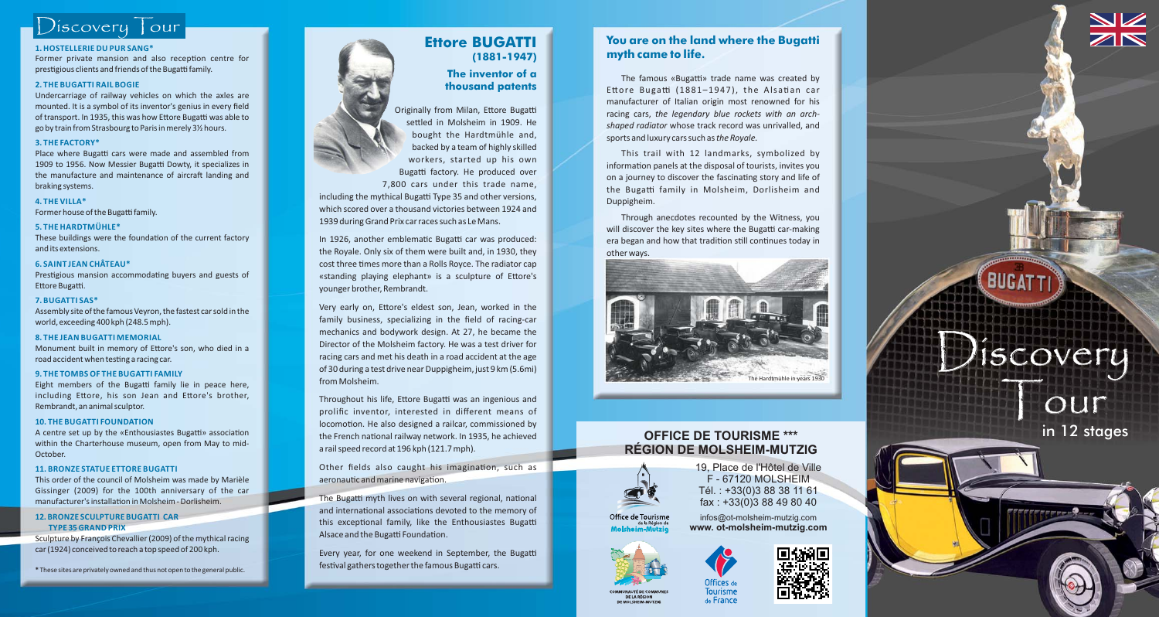# Discovery Tour

#### **1. HOSTELLERIE DU PUR SANG\***

Former private mansion and also reception centre for prestigious clients and friends of the Bugatti family.

#### **2. THE BUGATTI RAIL BOGIE**

Undercarriage of railway vehicles on which the axles are mounted. It is <sup>a</sup> symbol of its inventor's genius in every field of transport. In 1935, this was how Ettore Bugatti was able to go by train from Strasbourg to Paris in merely 3½ hours.

#### **3. THE FACTORY\***

Place where Bugatti cars were made and assembled from 1909 to 1956. Now Messier Bugatti Dowty, it specializes in the manufacture and maintenance of aircraft landing and braking systems.

#### **4. THE VILLA\***

Former house of the Bugatti family.

#### **5. THE HARDTMÜHLE\***

These buildings were the foundation of the current factory and its extensions.

#### **6. SAINT JEAN CHÂTEAU\***

Prestigious mansion accommodating buyers and guests of Ettore Bugatti.

#### **7. BUGATTI SAS\***

Assembly site of the famous Veyron, the fastest car sold in the world, exceeding 400 kph (248.5 mph).

#### **8. THE JEAN BUGATTI MEMORIAL**

Monument built in memory of Ettore's son, who died in a road accident when testing a racing car.

#### **9. THE TOMBS OF THE BUGATTI FAMILY**

Eight members of the Bugatti family lie in peace here, including Ettore, his son Jean and Ettore's brother, Rembrandt, an animal sculptor.

#### **10. THE BUGATTI FOUNDATION**

A centre set up by the «Enthousiastes Bugatti» association within the Charterhouse museum, open from May to mid-October.

#### **11. BRONZE STATUE ETTORE BUGATTI**

This order of the council of Molsheim was made by Marièle Gissinger (2009) for the 100th anniversary of the car manufacturer's installation in Molsheim - Dorlisheim.

#### **12. BRONZE SCULPTURE BUGATTI CARTYPE 35 GRAND PRIX**

Sculpture by François Chevallier (2009) of the mythical racing car (1924) conceived to reach <sup>a</sup> top speed of 200 kph.

**\*** These sites are privately owned and thus not open to the general public.



#### **The inventor of athousand patents**

Originally from Milan, Ettore Bugatti settled in Molsheim in 1909. He bought the Hardtmühle and, backed by <sup>a</sup> team of highly skilled workers, started up his own Bugatti factory. He produced over 7,800 cars under this trade name, including the mythical Bugatti Type 35 and other versions, which scored over a thousand victories between 1924 and1939 during Grand Prix car races such as Le Mans.

In 1926, another emblematic Bugatti car was produced: the Royale. Only six of them were built and, in 1930, they cost three times more than a Rolls Royce. The radiator cap «standing playing elephant» is a sculpture of Ettore's younger brother, Rembrandt.

Very early on, Ettore's eldest son, Jean, worked in the family business, specializing in the field of racing-car mechanics and bodywork design. At 27, he became the Director of the Molsheim factory. He was <sup>a</sup> test driver for racing cars and met his death in <sup>a</sup> road accident at the age of 30 during <sup>a</sup> test drive near Duppigheim, just 9 km (5.6mi) from Molsheim.

Throughout his life, Ettore Bugatti was an ingenious and prolific inventor, interested in different means of locomotion. He also designed a railcar, commissioned by the French national railway network. In 1935, he achieved <sup>a</sup> rail speed record at 196 kph (121.7 mph).

Other fields also caught his imagination, such as aeronautic and marine navigation.

The Bugatti myth lives on with several regional, national and international associations devoted to the memory of this exceptional family, like the Enthousiastes Bugatti Alsace and the Bugatti Foundation.

Every year, for one weekend in September, the Buga festival gathers together the famous Bugatti cars.

### **You are on the land where the Bugatti myth came to life.**

The famous «Bugatti» trade name was created by Ettore Bugatti (1881–1947), the Alsatian car manufacturer of Italian origin most renowned for his racing cars, *the legendary blue rockets with an archshaped radiator* whose track record was unrivalled, and sports and luxury cars such as*the Royale.*

This trail with 12 landmarks, symbolized by information panels at the disposal of tourists, invites you on a journey to discover the fascinating story and life of the Bugatti family in Molsheim, Dorlisheim and Duppigheim.

Through anecdotes recounted by the Witness, you will discover the key sites where the Bugatti car-making era began and how that tradition still continues today in other ways.



## **OFFICE DE TOURISME \*\*\*RÉGION DE MOLSHEIM-MUTZIG**



19, Place de l'Hôtel de Ville F - 67120 MOLSHEIMTél. : +33(0)3 88 38 11 61 fax : +33(0)3 88 49 80 40

Office de Tourisme infos@ot-molsheim-mutzig.com de la Région de **www. ot-molsheim-mutzig.com**





# The Hardtmühle in years 1930 in 12 stages



DE LA RÉGION

Tourisme de France